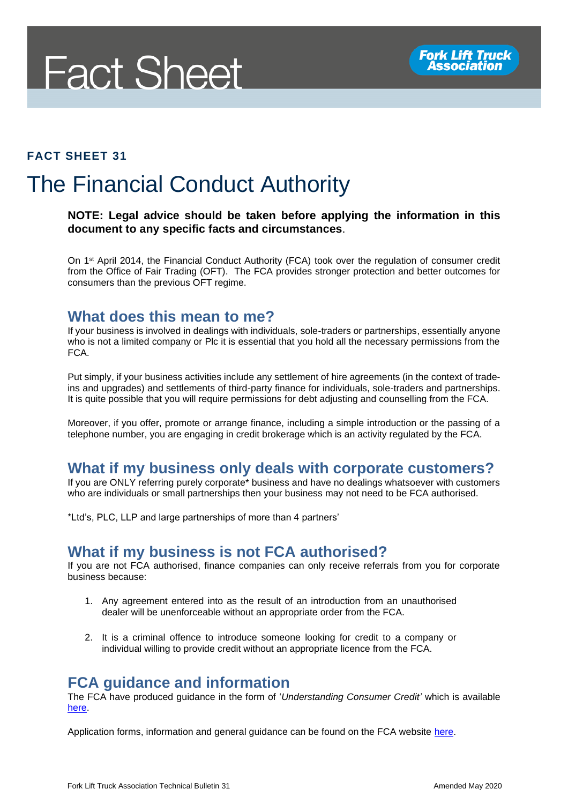

#### **FACT SHEET 31**

# The Financial Conduct Authority

#### **NOTE: Legal advice should be taken before applying the information in this document to any specific facts and circumstances**.

On 1st April 2014, the Financial Conduct Authority (FCA) took over the regulation of consumer credit from the Office of Fair Trading (OFT). The FCA provides stronger protection and better outcomes for consumers than the previous OFT regime.

#### **What does this mean to me?**

If your business is involved in dealings with individuals, sole-traders or partnerships, essentially anyone who is not a limited company or Plc it is essential that you hold all the necessary permissions from the FCA.

Put simply, if your business activities include any settlement of hire agreements (in the context of tradeins and upgrades) and settlements of third-party finance for individuals, sole-traders and partnerships. It is quite possible that you will require permissions for debt adjusting and counselling from the FCA.

Moreover, if you offer, promote or arrange finance, including a simple introduction or the passing of a telephone number, you are engaging in credit brokerage which is an activity regulated by the FCA.

### **What if my business only deals with corporate customers?**

If you are ONLY referring purely corporate\* business and have no dealings whatsoever with customers who are individuals or small partnerships then your business may not need to be FCA authorised.

\*Ltd's, PLC, LLP and large partnerships of more than 4 partners'

### **What if my business is not FCA authorised?**

If you are not FCA authorised, finance companies can only receive referrals from you for corporate business because:

- 1. Any agreement entered into as the result of an introduction from an unauthorised dealer will be unenforceable without an appropriate order from the FCA.
- 2. It is a criminal offence to introduce someone looking for credit to a company or individual willing to provide credit without an appropriate licence from the FCA.

## **FCA guidance and information**

The FCA have produced guidance in the form of '*Understanding Consumer Credit'* which is available [here.](http://www.fca.org.uk/your-fca/documents/consumer-credit-permissions-common-misunderstandings)

Application forms, information and general guidance can be found on the FCA website [here.](http://www.fca.org.uk/firms/firm-types/consumer-credit/authorisation)